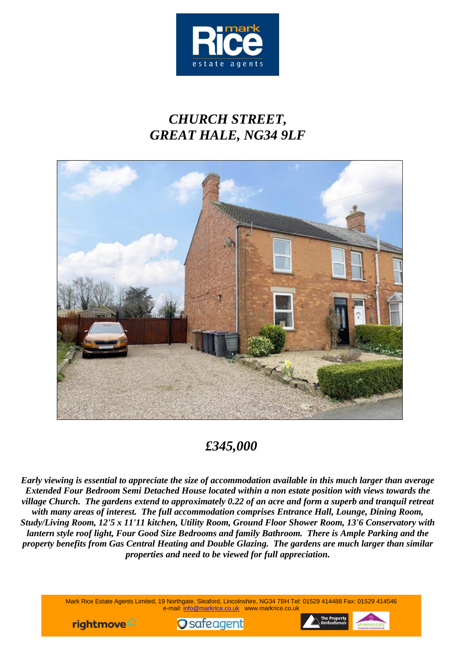

# *CHURCH STREET, GREAT HALE, NG34 9LF*



## *£345,000*

*Early viewing is essential to appreciate the size of accommodation available in this much larger than average Extended Four Bedroom Semi Detached House located within a non estate position with views towards the village Church. The gardens extend to approximately 0.22 of an acre and form a superb and tranquil retreat with many areas of interest. The full accommodation comprises Entrance Hall, Lounge, Dining Room, Study/Living Room, 12'5 x 11'11 kitchen, Utility Room, Ground Floor Shower Room, 13'6 Conservatory with lantern style roof light, Four Good Size Bedrooms and family Bathroom. There is Ample Parking and the property benefits from Gas Central Heating and Double Glazing. The gardens are much larger than similar properties and need to be viewed for full appreciation.*

> Mark Rice Estate Agents Limited, 19 Northgate, Sleaford, Lincolnshire, NG34 7BH Tel: 01529 414488 Fax: 01529 414546 e-mail: [info@markrice.co.uk](mailto:info@markrice.co.uk) www.markrice.co.uk





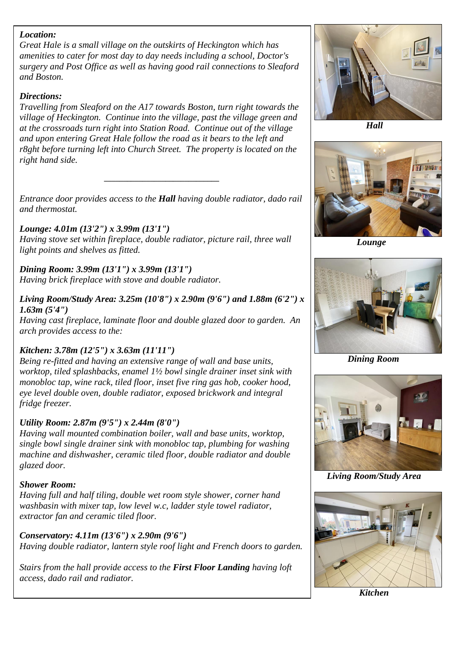### *Location:*

*Great Hale is a small village on the outskirts of Heckington which has amenities to cater for most day to day needs including a school, Doctor's surgery and Post Office as well as having good rail connections to Sleaford and Boston.*

### *Directions:*

*Travelling from Sleaford on the A17 towards Boston, turn right towards the village of Heckington. Continue into the village, past the village green and at the crossroads turn right into Station Road. Continue out of the village and upon entering Great Hale follow the road as it bears to the left and r8ght before turning left into Church Street. The property is located on the right hand side.*

*Entrance door provides access to the Hall having double radiator, dado rail and thermostat.*

*\_\_\_\_\_\_\_\_\_\_\_\_\_\_\_\_\_\_\_\_\_\_\_\_\_\_\_\_\_\_*

## *Lounge: 4.01m (13'2") x 3.99m (13'1")*

*Having stove set within fireplace, double radiator, picture rail, three wall light points and shelves as fitted.*

*Dining Room: 3.99m (13'1") x 3.99m (13'1") Having brick fireplace with stove and double radiator.*

*Living Room/Study Area: 3.25m (10'8") x 2.90m (9'6") and 1.88m (6'2") x 1.63m (5'4")*

*Having cast fireplace, laminate floor and double glazed door to garden. An arch provides access to the:*

## *Kitchen: 3.78m (12'5") x 3.63m (11'11")*

*Being re-fitted and having an extensive range of wall and base units, worktop, tiled splashbacks, enamel 1½ bowl single drainer inset sink with monobloc tap, wine rack, tiled floor, inset five ring gas hob, cooker hood, eye level double oven, double radiator, exposed brickwork and integral fridge freezer.*

## *Utility Room: 2.87m (9'5") x 2.44m (8'0")*

*Having wall mounted combination boiler, wall and base units, worktop, single bowl single drainer sink with monobloc tap, plumbing for washing machine and dishwasher, ceramic tiled floor, double radiator and double glazed door.*

## *Shower Room:*

*Having full and half tiling, double wet room style shower, corner hand washbasin with mixer tap, low level w.c, ladder style towel radiator, extractor fan and ceramic tiled floor.*

## *Conservatory: 4.11m (13'6") x 2.90m (9'6")*

*Having double radiator, lantern style roof light and French doors to garden.*

*Stairs from the hall provide access to the First Floor Landing having loft access, dado rail and radiator.*



 *Hall*



 *Lounge*



*Dining Room*



 *Living Room/Study Area*



*Kitchen*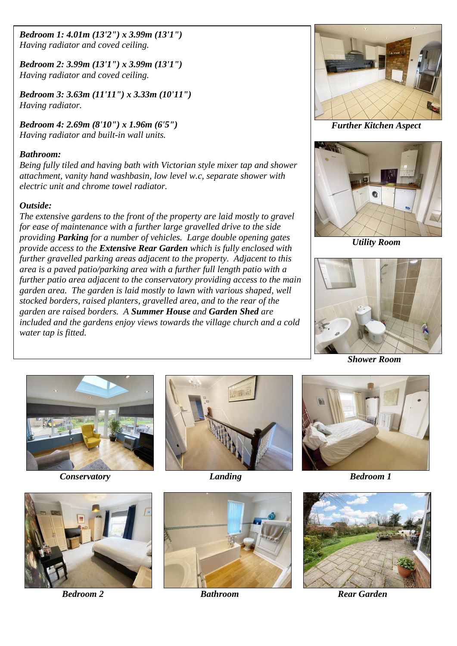*Bedroom 1: 4.01m (13'2") x 3.99m (13'1") Having radiator and coved ceiling.*

*Bedroom 2: 3.99m (13'1") x 3.99m (13'1") Having radiator and coved ceiling.*

*Bedroom 3: 3.63m (11'11") x 3.33m (10'11") Having radiator.*

 *Further Kitchen Aspect Bedroom 4: 2.69m (8'10") x 1.96m (6'5") Having radiator and built-in wall units.*

#### *Bathroom:*

*Being fully tiled and having bath with Victorian style mixer tap and shower attachment, vanity hand washbasin, low level w.c, separate shower with electric unit and chrome towel radiator.*

#### *Outside:*

*The extensive gardens to the front of the property are laid mostly to gravel for ease of maintenance with a further large gravelled drive to the side providing Parking for a number of vehicles. Large double opening gates provide access to the Extensive Rear Garden which is fully enclosed with further gravelled parking areas adjacent to the property. Adjacent to this area is a paved patio/parking area with a further full length patio with a further patio area adjacent to the conservatory providing access to the main garden area. The garden is laid mostly to lawn with various shaped, well stocked borders, raised planters, gravelled area, and to the rear of the garden are raised borders. A Summer House and Garden Shed are included and the gardens enjoy views towards the village church and a cold water tap is fitted.*





 *Utility Room* 



*Shower Room*













*Bedroom 2* **Bathroom** *Bathroom**Rear Garden*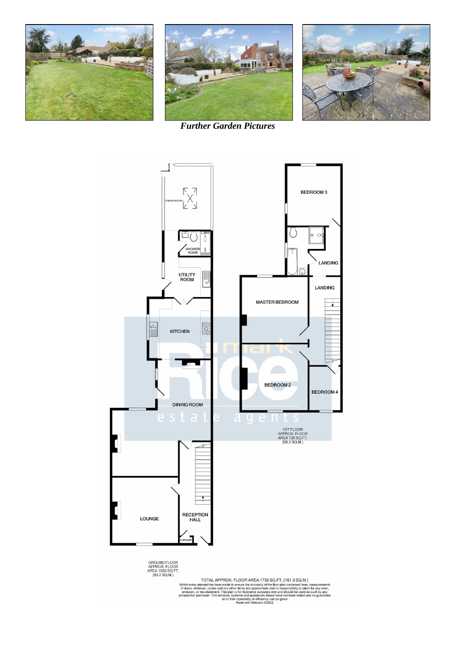





*Further Garden Pictures*